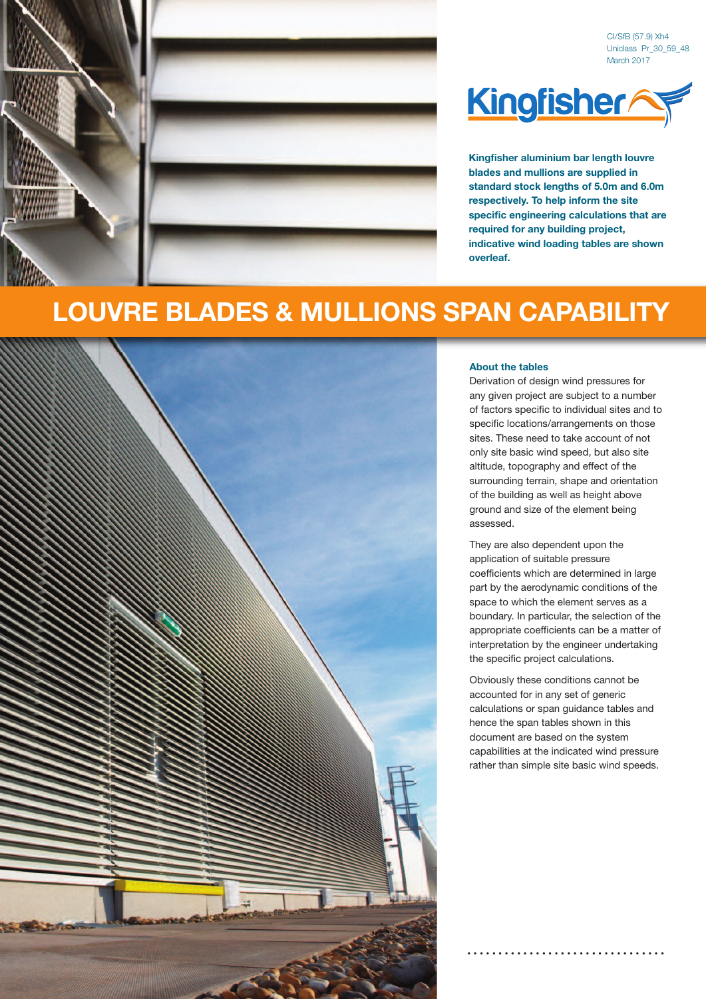

CI/SfB (57.9) Xh4 Uniclass Pr\_30\_59\_48 March 2017



**Kingfisher aluminium bar length louvre blades and mullions are supplied in standard stock lengths of 5.0m and 6.0m respectively. To help inform the site specific engineering calculations that are required for any building project, indicative wind loading tables are shown overleaf.**

## **LOUVRE BLADES & MULLIONS SPAN CAPABILITY**



## **About the tables**

Derivation of design wind pressures for any given project are subject to a number of factors specific to individual sites and to specific locations/arrangements on those sites. These need to take account of not only site basic wind speed, but also site altitude, topography and effect of the surrounding terrain, shape and orientation of the building as well as height above ground and size of the element being assessed.

They are also dependent upon the application of suitable pressure coefficients which are determined in large part by the aerodynamic conditions of the space to which the element serves as a boundary. In particular, the selection of the appropriate coefficients can be a matter of interpretation by the engineer undertaking the specific project calculations.

Obviously these conditions cannot be accounted for in any set of generic calculations or span guidance tables and hence the span tables shown in this document are based on the system capabilities at the indicated wind pressure rather than simple site basic wind speeds.

**. . . . . . . . . . . . . . . . . . . . . . . . . . . . . . . .**